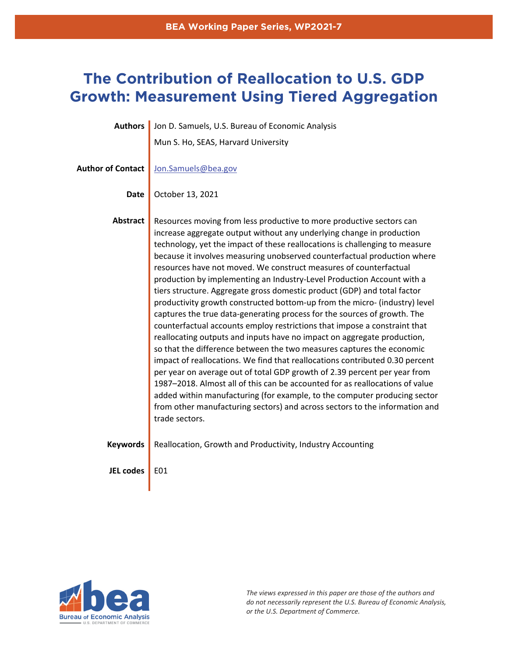# **The Contribution of Reallocation to U.S. GDP Growth: Measurement Using Tiered Aggregation**

| <b>Authors</b>           | Jon D. Samuels, U.S. Bureau of Economic Analysis                                                                                                                                                                                                                                                                                                                                                                                                                                                                                                                                                                                                                                                                                                                                                                                                                                                                                                                                                                                                                                                                                                                                                                                                                                                                                                          |
|--------------------------|-----------------------------------------------------------------------------------------------------------------------------------------------------------------------------------------------------------------------------------------------------------------------------------------------------------------------------------------------------------------------------------------------------------------------------------------------------------------------------------------------------------------------------------------------------------------------------------------------------------------------------------------------------------------------------------------------------------------------------------------------------------------------------------------------------------------------------------------------------------------------------------------------------------------------------------------------------------------------------------------------------------------------------------------------------------------------------------------------------------------------------------------------------------------------------------------------------------------------------------------------------------------------------------------------------------------------------------------------------------|
|                          | Mun S. Ho, SEAS, Harvard University                                                                                                                                                                                                                                                                                                                                                                                                                                                                                                                                                                                                                                                                                                                                                                                                                                                                                                                                                                                                                                                                                                                                                                                                                                                                                                                       |
| <b>Author of Contact</b> | Jon.Samuels@bea.gov                                                                                                                                                                                                                                                                                                                                                                                                                                                                                                                                                                                                                                                                                                                                                                                                                                                                                                                                                                                                                                                                                                                                                                                                                                                                                                                                       |
| <b>Date</b>              | October 13, 2021                                                                                                                                                                                                                                                                                                                                                                                                                                                                                                                                                                                                                                                                                                                                                                                                                                                                                                                                                                                                                                                                                                                                                                                                                                                                                                                                          |
| <b>Abstract</b>          | Resources moving from less productive to more productive sectors can<br>increase aggregate output without any underlying change in production<br>technology, yet the impact of these reallocations is challenging to measure<br>because it involves measuring unobserved counterfactual production where<br>resources have not moved. We construct measures of counterfactual<br>production by implementing an Industry-Level Production Account with a<br>tiers structure. Aggregate gross domestic product (GDP) and total factor<br>productivity growth constructed bottom-up from the micro- (industry) level<br>captures the true data-generating process for the sources of growth. The<br>counterfactual accounts employ restrictions that impose a constraint that<br>reallocating outputs and inputs have no impact on aggregate production,<br>so that the difference between the two measures captures the economic<br>impact of reallocations. We find that reallocations contributed 0.30 percent<br>per year on average out of total GDP growth of 2.39 percent per year from<br>1987-2018. Almost all of this can be accounted for as reallocations of value<br>added within manufacturing (for example, to the computer producing sector<br>from other manufacturing sectors) and across sectors to the information and<br>trade sectors. |
| <b>Keywords</b>          | Reallocation, Growth and Productivity, Industry Accounting                                                                                                                                                                                                                                                                                                                                                                                                                                                                                                                                                                                                                                                                                                                                                                                                                                                                                                                                                                                                                                                                                                                                                                                                                                                                                                |
| <b>JEL codes</b>         | E01                                                                                                                                                                                                                                                                                                                                                                                                                                                                                                                                                                                                                                                                                                                                                                                                                                                                                                                                                                                                                                                                                                                                                                                                                                                                                                                                                       |



*The views expressed in this paper are those of the authors and do not necessarily represent the U.S. Bureau of Economic Analysis, or the U.S. Department of Commerce.*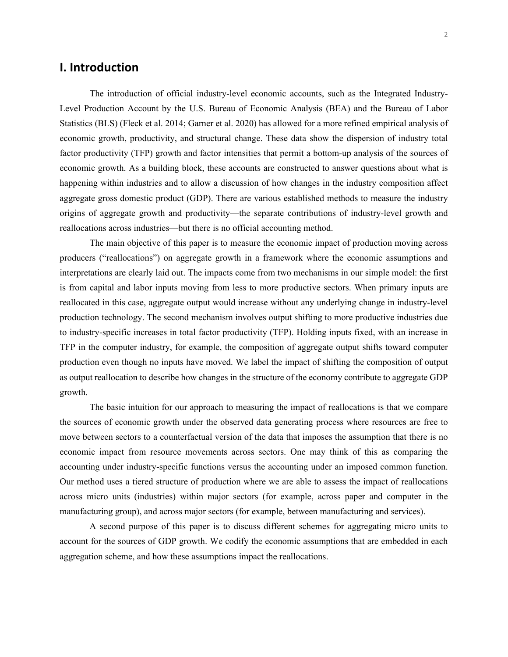### **I. Introduction**

The introduction of official industry-level economic accounts, such as the Integrated Industry-Level Production Account by the U.S. Bureau of Economic Analysis (BEA) and the Bureau of Labor Statistics (BLS) (Fleck et al. 2014; Garner et al. 2020) has allowed for a more refined empirical analysis of economic growth, productivity, and structural change. These data show the dispersion of industry total factor productivity (TFP) growth and factor intensities that permit a bottom-up analysis of the sources of economic growth. As a building block, these accounts are constructed to answer questions about what is happening within industries and to allow a discussion of how changes in the industry composition affect aggregate gross domestic product (GDP). There are various established methods to measure the industry origins of aggregate growth and productivity—the separate contributions of industry-level growth and reallocations across industries—but there is no official accounting method.

The main objective of this paper is to measure the economic impact of production moving across producers ("reallocations") on aggregate growth in a framework where the economic assumptions and interpretations are clearly laid out. The impacts come from two mechanisms in our simple model: the first is from capital and labor inputs moving from less to more productive sectors. When primary inputs are reallocated in this case, aggregate output would increase without any underlying change in industry-level production technology. The second mechanism involves output shifting to more productive industries due to industry-specific increases in total factor productivity (TFP). Holding inputs fixed, with an increase in TFP in the computer industry, for example, the composition of aggregate output shifts toward computer production even though no inputs have moved. We label the impact of shifting the composition of output as output reallocation to describe how changes in the structure of the economy contribute to aggregate GDP growth.

The basic intuition for our approach to measuring the impact of reallocations is that we compare the sources of economic growth under the observed data generating process where resources are free to move between sectors to a counterfactual version of the data that imposes the assumption that there is no economic impact from resource movements across sectors. One may think of this as comparing the accounting under industry-specific functions versus the accounting under an imposed common function. Our method uses a tiered structure of production where we are able to assess the impact of reallocations across micro units (industries) within major sectors (for example, across paper and computer in the manufacturing group), and across major sectors (for example, between manufacturing and services).

A second purpose of this paper is to discuss different schemes for aggregating micro units to account for the sources of GDP growth. We codify the economic assumptions that are embedded in each aggregation scheme, and how these assumptions impact the reallocations.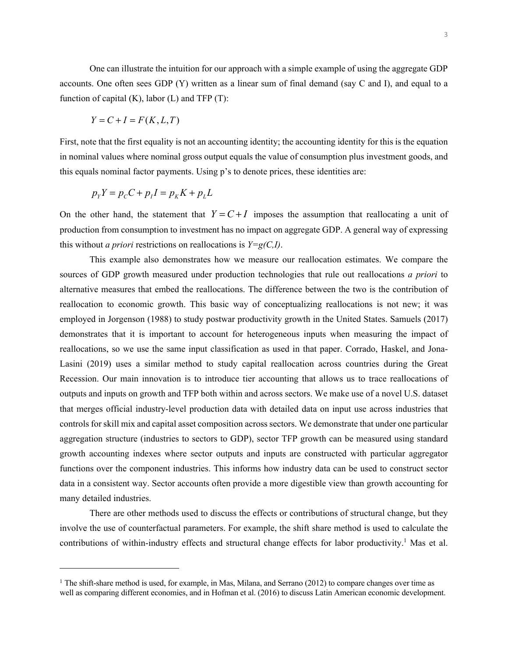One can illustrate the intuition for our approach with a simple example of using the aggregate GDP accounts. One often sees GDP (Y) written as a linear sum of final demand (say C and I), and equal to a function of capital  $(K)$ , labor  $(L)$  and TFP  $(T)$ :

$$
Y = C + I = F(K, L, T)
$$

First, note that the first equality is not an accounting identity; the accounting identity for this is the equation in nominal values where nominal gross output equals the value of consumption plus investment goods, and this equals nominal factor payments. Using p's to denote prices, these identities are:

$$
p_{Y}Y = p_{C}C + p_{I}I = p_{K}K + p_{L}L
$$

On the other hand, the statement that  $Y = C + I$  imposes the assumption that reallocating a unit of production from consumption to investment has no impact on aggregate GDP. A general way of expressing this without *a priori* restrictions on reallocations is *Y=g(C,I)*.

This example also demonstrates how we measure our reallocation estimates. We compare the sources of GDP growth measured under production technologies that rule out reallocations *a priori* to alternative measures that embed the reallocations. The difference between the two is the contribution of reallocation to economic growth. This basic way of conceptualizing reallocations is not new; it was employed in Jorgenson (1988) to study postwar productivity growth in the United States. Samuels (2017) demonstrates that it is important to account for heterogeneous inputs when measuring the impact of reallocations, so we use the same input classification as used in that paper. Corrado, Haskel, and Jona-Lasini (2019) uses a similar method to study capital reallocation across countries during the Great Recession. Our main innovation is to introduce tier accounting that allows us to trace reallocations of outputs and inputs on growth and TFP both within and across sectors. We make use of a novel U.S. dataset that merges official industry-level production data with detailed data on input use across industries that controls for skill mix and capital asset composition across sectors. We demonstrate that under one particular aggregation structure (industries to sectors to GDP), sector TFP growth can be measured using standard growth accounting indexes where sector outputs and inputs are constructed with particular aggregator functions over the component industries. This informs how industry data can be used to construct sector data in a consistent way. Sector accounts often provide a more digestible view than growth accounting for many detailed industries.

There are other methods used to discuss the effects or contributions of structural change, but they involve the use of counterfactual parameters. For example, the shift share method is used to calculate the contributions of within-industry effects and structural change effects for labor productivity.<sup>1</sup> Mas et al.

<sup>&</sup>lt;sup>1</sup> The shift-share method is used, for example, in Mas, Milana, and Serrano (2012) to compare changes over time as well as comparing different economies, and in Hofman et al. (2016) to discuss Latin American economic development.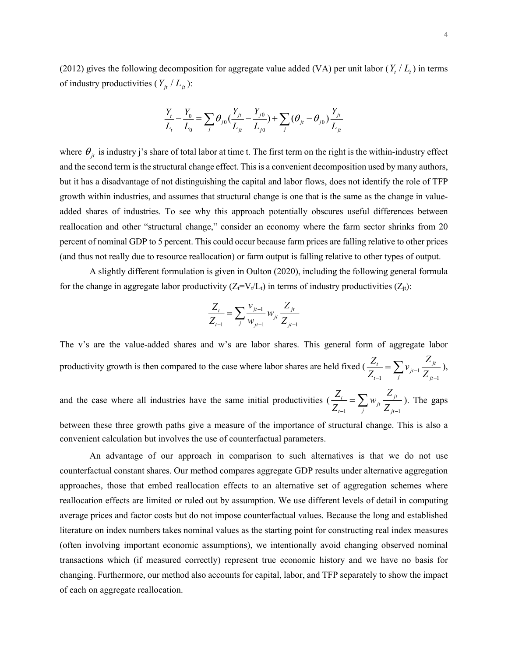(2012) gives the following decomposition for aggregate value added (VA) per unit labor  $(Y, / L_t)$  in terms of industry productivities  $(Y_{it} / L_{it})$ :

$$
\frac{Y_t}{L_t} - \frac{Y_0}{L_0} = \sum_j \theta_{j0} \left( \frac{Y_{jt}}{L_{jt}} - \frac{Y_{j0}}{L_{j0}} \right) + \sum_j (\theta_{jt} - \theta_{j0}) \frac{Y_{jt}}{L_{jt}}
$$

where  $\theta_{it}$  is industry j's share of total labor at time t. The first term on the right is the within-industry effect and the second term is the structural change effect. This is a convenient decomposition used by many authors, but it has a disadvantage of not distinguishing the capital and labor flows, does not identify the role of TFP growth within industries, and assumes that structural change is one that is the same as the change in valueadded shares of industries. To see why this approach potentially obscures useful differences between reallocation and other "structural change," consider an economy where the farm sector shrinks from 20 percent of nominal GDP to 5 percent. This could occur because farm prices are falling relative to other prices (and thus not really due to resource reallocation) or farm output is falling relative to other types of output.

A slightly different formulation is given in Oulton (2020), including the following general formula for the change in aggregate labor productivity  $(Z_t=V_t/L_t)$  in terms of industry productivities  $(Z_t)$ :

$$
\frac{Z_t}{Z_{t-1}} = \sum_j \frac{v_{jt-1}}{w_{jt-1}} w_{jt} \frac{Z_{jt}}{Z_{jt-1}}
$$

The v's are the value-added shares and w's are labor shares. This general form of aggregate labor *t* productivity growth is then compared to the case where labor shares are held fixed ( $\frac{Z_t}{Z_{t-1}} = \sum_j v_{j} I_{j-1} \frac{Z_{j} I_{j-1}}{Z_{j-1}}$ ),

and the case where all industries have the same initial productivities  $\left(\frac{Z_t}{Z_{t-1}}\right) = \sum_j w_{jt} \frac{Z_{jt}}{Z_{jt-1}}$ ). The gaps  $\sum_{t=1}^{t}$   $\sum_{j}^{t}$   $\sum_{jt=1}^{t}$ 

between these three growth paths give a measure of the importance of structural change. This is also a convenient calculation but involves the use of counterfactual parameters.

An advantage of our approach in comparison to such alternatives is that we do not use counterfactual constant shares. Our method compares aggregate GDP results under alternative aggregation approaches, those that embed reallocation effects to an alternative set of aggregation schemes where reallocation effects are limited or ruled out by assumption. We use different levels of detail in computing average prices and factor costs but do not impose counterfactual values. Because the long and established literature on index numbers takes nominal values as the starting point for constructing real index measures (often involving important economic assumptions), we intentionally avoid changing observed nominal transactions which (if measured correctly) represent true economic history and we have no basis for changing. Furthermore, our method also accounts for capital, labor, and TFP separately to show the impact of each on aggregate reallocation.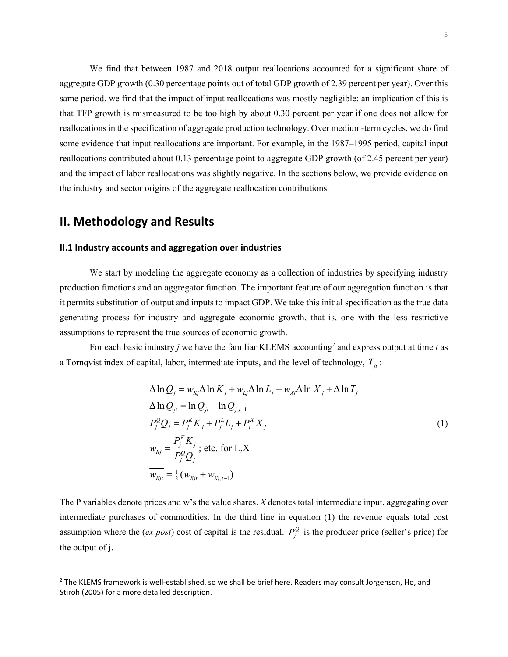We find that between 1987 and 2018 output reallocations accounted for a significant share of aggregate GDP growth (0.30 percentage points out of total GDP growth of 2.39 percent per year). Over this same period, we find that the impact of input reallocations was mostly negligible; an implication of this is that TFP growth is mismeasured to be too high by about 0.30 percent per year if one does not allow for reallocations in the specification of aggregate production technology. Over medium-term cycles, we do find some evidence that input reallocations are important. For example, in the 1987–1995 period, capital input reallocations contributed about 0.13 percentage point to aggregate GDP growth (of 2.45 percent per year) and the impact of labor reallocations was slightly negative. In the sections below, we provide evidence on the industry and sector origins of the aggregate reallocation contributions.

## **II. Methodology and Results**

#### **II.1 Industry accounts and aggregation over industries**

We start by modeling the aggregate economy as a collection of industries by specifying industry production functions and an aggregator function. The important feature of our aggregation function is that it permits substitution of output and inputs to impact GDP. We take this initial specification as the true data generating process for industry and aggregate economic growth, that is, one with the less restrictive assumptions to represent the true sources of economic growth.

For each basic industry *j* we have the familiar KLEMS accounting<sup>2</sup> and express output at time *t* as a Tornqvist index of capital, labor, intermediate inputs, and the level of technology,  $T_{it}$ :

$$
\Delta \ln Q_j = \overline{w_{kj}} \Delta \ln K_j + \overline{w_{kj}} \Delta \ln L_j + \overline{w_{kj}} \Delta \ln X_j + \Delta \ln T_j
$$
  
\n
$$
\Delta \ln Q_{jt} = \ln Q_{jt} - \ln Q_{j,t-1}
$$
  
\n
$$
P_j^Q Q_j = P_j^K K_j + P_j^L L_j + P_j^K X_j
$$
  
\n
$$
w_{kj} = \frac{P_j^K K_j}{P_j^Q Q_j}; \text{ etc. for } L, X
$$
  
\n
$$
\overline{w_{kjt}} = \frac{1}{2} (w_{kjt} + w_{kj,t-1})
$$
 (1)

The P variables denote prices and w's the value shares. *X* denotes total intermediate input, aggregating over intermediate purchases of commodities. In the third line in equation (1) the revenue equals total cost assumption where the (*ex post*) cost of capital is the residual.  $P_j^Q$  is the producer price (seller's price) for the output of j.

<sup>&</sup>lt;sup>2</sup> The KLEMS framework is well-established, so we shall be brief here. Readers may consult Jorgenson, Ho, and Stiroh (2005) for a more detailed description.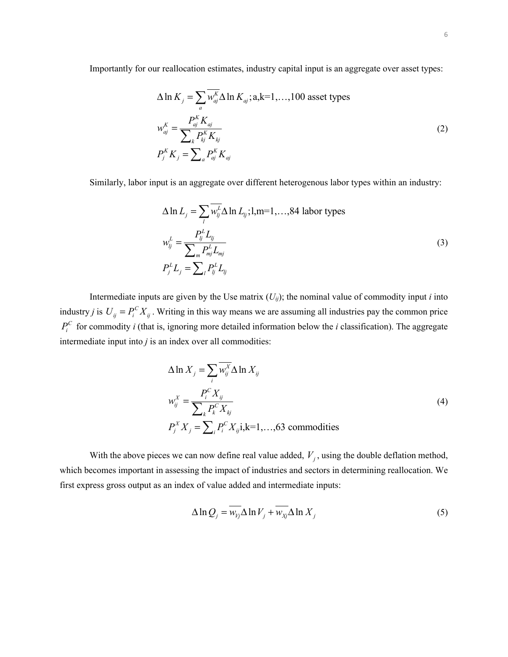Importantly for our reallocation estimates, industry capital input is an aggregate over asset types:

$$
\Delta \ln K_j = \sum_a \overline{w_{aj}^K} \Delta \ln K_{aj}; a, k=1,...,100 \text{ asset types}
$$
  
\n
$$
w_{aj}^K = \frac{P_{aj}^K K_{aj}}{\sum_k P_{kj}^K K_{kj}}
$$
  
\n
$$
P_j^K K_j = \sum_a P_{aj}^K K_{aj}
$$
\n(2)

Similarly, labor input is an aggregate over different heterogenous labor types within an industry:

$$
\Delta \ln L_j = \sum_l \overline{w_{lj}^L} \Delta \ln L_{lj}; l, m=1,...,84 \text{ labor types}
$$
  
\n
$$
w_{lj}^L = \frac{P_{lj}^L L_{lj}}{\sum_m P_{mj}^L L_{mj}}
$$
  
\n
$$
P_j^L L_j = \sum_l P_{lj}^L L_{lj}
$$
\n(3)

Intermediate inputs are given by the Use matrix  $(U_{ij})$ ; the nominal value of commodity input *i* into industry *j* is  $U_{ij} = P_i^C X_{ij}$ . Writing in this way means we are assuming all industries pay the common price  $P_i^C$  for commodity *i* (that is, ignoring more detailed information below the *i* classification). The aggregate intermediate input into  $j$  is an index over all commodities:

$$
\Delta \ln X_j = \sum_i \overline{w_{ij}^X} \Delta \ln X_{ij}
$$
  
\n
$$
w_{ij}^X = \frac{P_i^C X_{ij}}{\sum_k P_k^C X_{kj}}
$$
  
\n
$$
P_j^X X_j = \sum_i P_i^C X_{ij} \text{ i,k=1,...,63 commodities}
$$
\n(4)

With the above pieces we can now define real value added,  $V_i$ , using the double deflation method, which becomes important in assessing the impact of industries and sectors in determining reallocation. We first express gross output as an index of value added and intermediate inputs:

$$
\Delta \ln Q_j = w_{Vj} \Delta \ln V_j + w_{Xj} \Delta \ln X_j \tag{5}
$$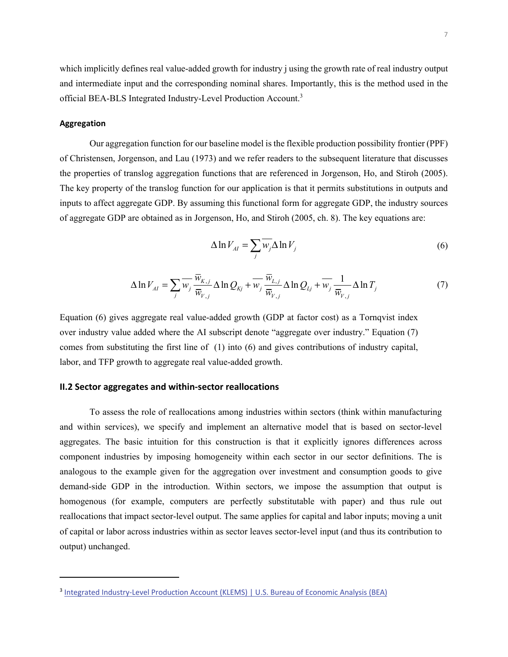which implicitly defines real value-added growth for industry j using the growth rate of real industry output and intermediate input and the corresponding nominal shares. Importantly, this is the method used in the official BEA-BLS Integrated Industry-Level Production Account.<sup>3</sup>

#### **Aggregation**

Our aggregation function for our baseline model is the flexible production possibility frontier (PPF) of Christensen, Jorgenson, and Lau (1973) and we refer readers to the subsequent literature that discusses the properties of translog aggregation functions that are referenced in Jorgenson, Ho, and Stiroh (2005). The key property of the translog function for our application is that it permits substitutions in outputs and inputs to affect aggregate GDP. By assuming this functional form for aggregate GDP, the industry sources of aggregate GDP are obtained as in Jorgenson, Ho, and Stiroh (2005, ch. 8). The key equations are:

$$
\Delta \ln V_{AI} = \sum_{j} \overline{W_j} \Delta \ln V_j \tag{6}
$$

$$
\Delta \ln V_{AI} = \sum_{j} \overline{w}_{j} \frac{\overline{w}_{K,j}}{\overline{w}_{V,j}} \Delta \ln Q_{Kj} + \overline{w}_{j} \frac{\overline{w}_{L,j}}{\overline{w}_{V,j}} \Delta \ln Q_{Lj} + \overline{w}_{j} \frac{1}{\overline{w}_{V,j}} \Delta \ln T_{j}
$$
(7)

Equation (6) gives aggregate real value-added growth (GDP at factor cost) as a Tornqvist index over industry value added where the AI subscript denote "aggregate over industry." Equation (7) comes from substituting the first line of (1) into (6) and gives contributions of industry capital, labor, and TFP growth to aggregate real value-added growth.

#### **II.2 Sector aggregates and within-sector reallocations**

To assess the role of reallocations among industries within sectors (think within manufacturing and within services), we specify and implement an alternative model that is based on sector-level aggregates. The basic intuition for this construction is that it explicitly ignores differences across component industries by imposing homogeneity within each sector in our sector definitions. The is analogous to the example given for the aggregation over investment and consumption goods to give demand-side GDP in the introduction. Within sectors, we impose the assumption that output is homogenous (for example, computers are perfectly substitutable with paper) and thus rule out reallocations that impact sector-level output. The same applies for capital and labor inputs; moving a unit of capital or labor across industries within as sector leaves sector-level input (and thus its contribution to output) unchanged.

<sup>&</sup>lt;sup>3</sup> Integrated Industry-Level Production Account (KLEMS) | U.S. Bureau of Economic Analysis (BEA)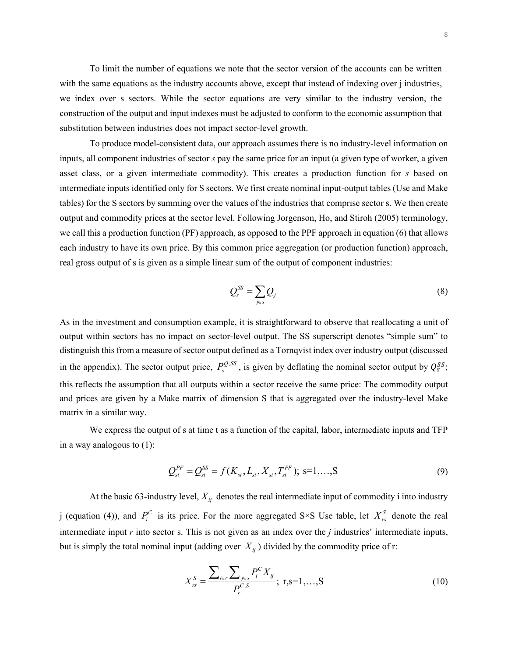To limit the number of equations we note that the sector version of the accounts can be written with the same equations as the industry accounts above, except that instead of indexing over j industries, we index over s sectors. While the sector equations are very similar to the industry version, the construction of the output and input indexes must be adjusted to conform to the economic assumption that substitution between industries does not impact sector-level growth.

To produce model-consistent data, our approach assumes there is no industry-level information on inputs, all component industries of sector *s* pay the same price for an input (a given type of worker, a given asset class, or a given intermediate commodity). This creates a production function for *s* based on intermediate inputs identified only for S sectors. We first create nominal input-output tables (Use and Make tables) for the S sectors by summing over the values of the industries that comprise sector s. We then create output and commodity prices at the sector level. Following Jorgenson, Ho, and Stiroh (2005) terminology, we call this a production function (PF) approach, as opposed to the PPF approach in equation (6) that allows each industry to have its own price. By this common price aggregation (or production function) approach, real gross output of s is given as a simple linear sum of the output of component industries:

$$
\mathcal{Q}_s^{SS} = \sum_{j \in s} \mathcal{Q}_j \tag{8}
$$

As in the investment and consumption example, it is straightforward to observe that reallocating a unit of output within sectors has no impact on sector-level output. The SS superscript denotes "simple sum" to distinguish this from a measure of sector output defined as a Tornqvist index over industry output (discussed in the appendix). The sector output price,  $P_s^{Q;SS}$ , is given by deflating the nominal sector output by  $Q_s^{SS}$ ; this reflects the assumption that all outputs within a sector receive the same price: The commodity output and prices are given by a Make matrix of dimension S that is aggregated over the industry-level Make matrix in a similar way.

We express the output of s at time t as a function of the capital, labor, intermediate inputs and TFP in a way analogous to (1):

$$
Q_{st}^{PF} = Q_{st}^{SS} = f(K_{st}, L_{st}, X_{st}, T_{st}^{PF}); \text{ s=1,...,S}
$$
 (9)

At the basic 63-industry level,  $X_{ij}$  denotes the real intermediate input of commodity i into industry j (equation (4)), and  $P_i^C$  is its price. For the more aggregated S×S Use table, let  $X_{rs}^S$  denote the real intermediate input *r* into sector s. This is not given as an index over the *j* industries' intermediate inputs, but is simply the total nominal input (adding over  $X_{ii}$ ) divided by the commodity price of r:

$$
X_{rs}^{S} = \frac{\sum_{i \in r} \sum_{j \in s} P_{i}^{C} X_{ij}}{P_{r}^{C;S}}; r, s = 1,...,S
$$
 (10)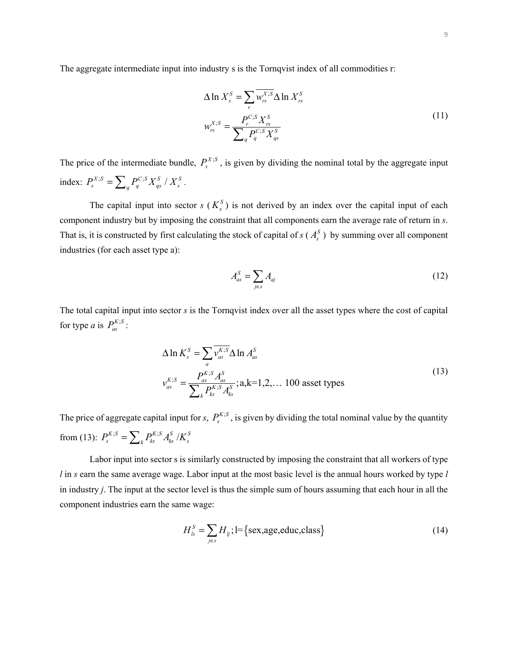The aggregate intermediate input into industry s is the Tornqvist index of all commodities r:

$$
\Delta \ln X_s^S = \sum_r \overline{w_{rs}^{X;S}} \Delta \ln X_{rs}^S
$$
  

$$
w_{rs}^{X;S} = \frac{P_r^{C;S} X_{rs}^S}{\sum_q P_q^{C;S} X_{qs}^S}
$$
 (11)

The price of the intermediate bundle,  $P_s^{X;S}$ , is given by dividing the nominal total by the aggregate input index:  $P_s^{X;S} = \sum_q P_q^{C;S} X_{qs}^S / X_s^S$ .

The capital input into sector  $s$  ( $K_s^S$ ) is not derived by an index over the capital input of each component industry but by imposing the constraint that all components earn the average rate of return in *s*. That is, it is constructed by first calculating the stock of capital of  $s(A_s^S)$  by summing over all component industries (for each asset type a):

$$
A_{as}^S = \sum_{j \in s} A_{aj} \tag{12}
$$

The total capital input into sector *s* is the Tornqvist index over all the asset types where the cost of capital for type *a* is  $P_{as}^{K;S}$ :

$$
\Delta \ln K_s^S = \sum_a \overline{v_{as}^{K;S}} \Delta \ln A_{as}^S
$$
  

$$
v_{as}^{K;S} = \frac{P_{as}^{K;S} A_{as}^S}{\sum_k P_{ks}^{K;S} A_{ks}^S}; \text{a,k=1,2,... 100 asset types}
$$
 (13)

The price of aggregate capital input for *s*,  $P_s^{K;S}$ , is given by dividing the total nominal value by the quantity from (13):  $P_s^{K;S} = \sum_k P_{ks}^{K;S} A_{ks}^S / K_s^S$ 

Labor input into sector s is similarly constructed by imposing the constraint that all workers of type *l* in *s* earn the same average wage. Labor input at the most basic level is the annual hours worked by type *l*  in industry *j*. The input at the sector level is thus the simple sum of hours assuming that each hour in all the component industries earn the same wage:

$$
H_{ls}^{S} = \sum_{j \in s} H_{lj}; l = \{sex, age, educ, class\}
$$
 (14)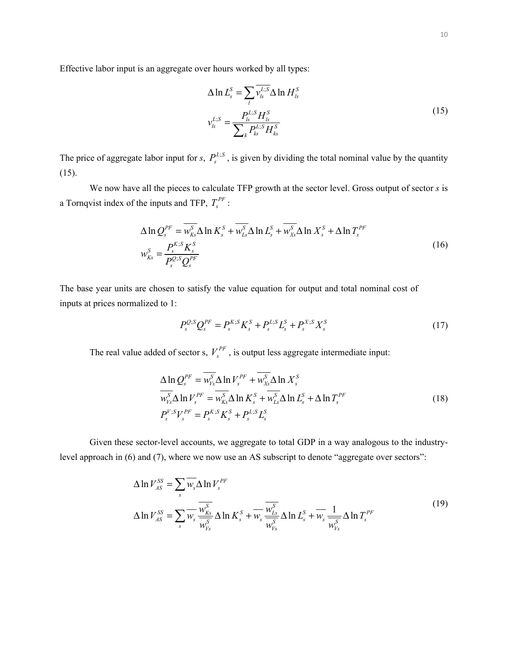Effective labor input is an aggregate over hours worked by all types:

$$
\Delta \ln L_s^S = \sum_l \overline{v_{ls}^{L;S}} \Delta \ln H_s^S
$$
  

$$
v_{ls}^{L;S} = \frac{P_{ls}^{L;S} H_{ls}^S}{\sum_k P_{ks}^{L;S} H_{ks}^S}
$$
 (15)

The price of aggregate labor input for *s*,  $P_s^{L;S}$ , is given by dividing the total nominal value by the quantity (15).

We now have all the pieces to calculate TFP growth at the sector level. Gross output of sector *s* is a Tornqvist index of the inputs and TFP,  $T_s^{PF}$ :

$$
\Delta \ln Q_s^{PF} = \overline{w_{ks}^S} \Delta \ln K_s^S + \overline{w_{ks}^S} \Delta \ln L_s^S + \overline{w_{xs}^S} \Delta \ln K_s^S + \Delta \ln T_s^{PF}
$$
  

$$
w_{ks}^S = \frac{P_s^{K;S} K_s^S}{P_s^{Q;S} Q_s^{PF}}
$$
(16)

The base year units are chosen to satisfy the value equation for output and total nominal cost of inputs at prices normalized to 1:

$$
P_s^{Q,S} Q_s^{PF} = P_s^{K,S} K_s^S + P_s^{L,S} L_s^S + P_s^{X,S} X_s^S
$$
 (17)

The real value added of sector s,  $V_s^{PF}$ , is output less aggregate intermediate input:

$$
\Delta \ln Q_s^{PF} = \overline{w_{\nu_s}^S} \Delta \ln V_s^{PF} + \overline{w_{\nu_s}^S} \Delta \ln X_s^S
$$
  
\n
$$
\overline{w_{\nu_s}^S} \Delta \ln V_s^{PF} = \overline{w_{\nu_s}^S} \Delta \ln K_s^S + \overline{w_{\nu_s}^S} \Delta \ln L_s^S + \Delta \ln T_s^{PF}
$$
  
\n
$$
P_s^{V;S} V_s^{PF} = P_s^{K;S} K_s^S + P_s^{L;S} L_s^S
$$
\n(18)

Given these sector-level accounts, we aggregate to total GDP in a way analogous to the industrylevel approach in (6) and (7), where we now use an AS subscript to denote "aggregate over sectors":

$$
\Delta \ln V_{AS}^{SS} = \sum_{s} \overline{w_s} \Delta \ln V_s^{PF}
$$
\n
$$
\Delta \ln V_{AS}^{SS} = \sum_{s} \overline{w_s} \frac{\overline{w_{Ks}^S}}{\overline{w_{Ks}^S}} \Delta \ln K_s^S + \overline{w_s} \frac{\overline{w_{Ls}^S}}{\overline{w_{Ks}^S}} \Delta \ln L_s^S + \overline{w_s} \frac{1}{\overline{w_{Ks}^S}} \Delta \ln T_s^{PF}
$$
\n(19)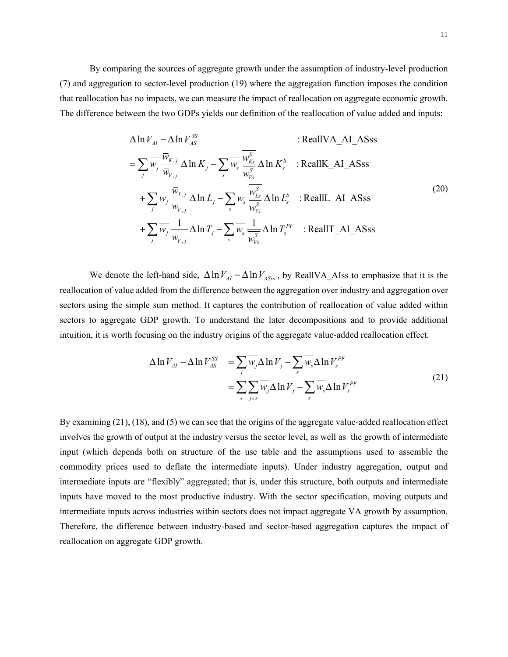By comparing the sources of aggregate growth under the assumption of industry-level production (7) and aggregation to sector-level production (19) where the aggregation function imposes the condition that reallocation has no impacts, we can measure the impact of reallocation on aggregate economic growth. The difference between the two GDPs yields our definition of the reallocation of value added and inputs:

$$
\Delta \ln V_{AI} - \Delta \ln V_{AS}^{SS} \qquad : \text{RealIVA\_AI\_ASS} \\ = \sum_{j} \overline{w}_{j} \frac{\overline{w}_{K,j}}{\overline{w}_{V,j}} \Delta \ln K_{j} - \sum_{s} \overline{w}_{s} \frac{\overline{w}_{Ks}^{S}}{\overline{w}_{Vs}^{S}} \Delta \ln K_{s}^{S} \quad : \text{RealIK\_AI\_ASS} \\ + \sum_{j} \overline{w}_{j} \frac{\overline{w}_{L,j}}{\overline{w}_{V,j}} \Delta \ln L_{j} - \sum_{s} \overline{w}_{s} \frac{\overline{w}_{Ls}^{S}}{\overline{w}_{Vs}^{S}} \Delta \ln L_{s}^{S} \quad : \text{RealIL\_AI\_ASS} \\ + \sum_{j} \overline{w}_{j} \frac{1}{\overline{w}_{V,j}} \Delta \ln T_{j} - \sum_{s} \overline{w}_{s} \frac{1}{\overline{w}_{Vs}^{S}} \Delta \ln T_{s}^{PF} \quad : \text{RealIT\_AI\_ASS} \qquad (20)
$$

We denote the left-hand side,  $\Delta \ln V_{AI} - \Delta \ln V_{ASS}$ , by ReallVA\_AIss to emphasize that it is the reallocation of value added from the difference between the aggregation over industry and aggregation over sectors using the simple sum method. It captures the contribution of reallocation of value added within sectors to aggregate GDP growth. To understand the later decompositions and to provide additional intuition, it is worth focusing on the industry origins of the aggregate value-added reallocation effect.

$$
\Delta \ln V_{AI} - \Delta \ln V_{AS}^{SS} = \sum_{j} \overline{w_{j}} \Delta \ln V_{j} - \sum_{s} \overline{w_{s}} \Delta \ln V_{s}^{PF}
$$
  

$$
= \sum_{s} \sum_{j \in s} \overline{w_{j}} \Delta \ln V_{j} - \sum_{s} \overline{w_{s}} \Delta \ln V_{s}^{PF}
$$
(21)

By examining (21), (18), and (5) we can see that the origins of the aggregate value-added reallocation effect involves the growth of output at the industry versus the sector level, as well as the growth of intermediate input (which depends both on structure of the use table and the assumptions used to assemble the commodity prices used to deflate the intermediate inputs). Under industry aggregation, output and intermediate inputs are "flexibly" aggregated; that is, under this structure, both outputs and intermediate inputs have moved to the most productive industry. With the sector specification, moving outputs and intermediate inputs across industries within sectors does not impact aggregate VA growth by assumption. Therefore, the difference between industry-based and sector-based aggregation captures the impact of reallocation on aggregate GDP growth.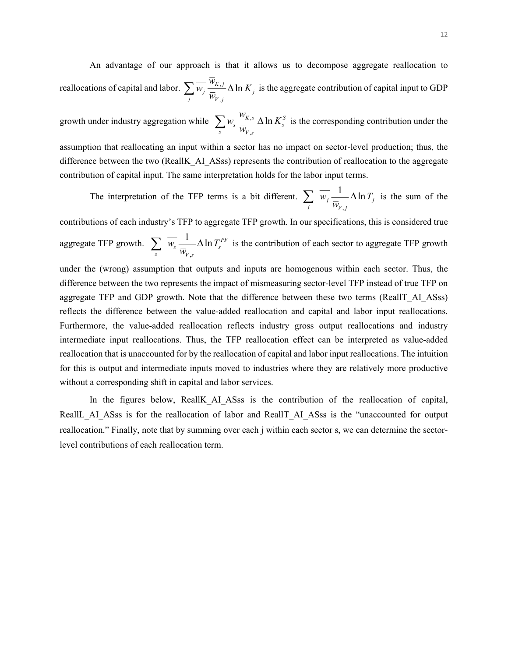An advantage of our approach is that it allows us to decompose aggregate reallocation to *reallocations of capital and labor.*  $\sum \overline{w}_j \frac{\overline{w}_{K,j}}{\overline{w}} \Delta \ln K_j$  is the aggregate contribution of capital input to GDP  $\overline{w}_{V,j}$ <sup>*w*</sup> $\overline{w}_{V,j}$ 

growth under industry aggregation while  $\sum \overline{w}_s \frac{\overline{w}_{K,s}}{\overline{w}} \Delta \ln K_s^s$  is the corresponding contribution under the  $\overline{\mathbf{w}}_s$ <sup>*s*</sup>  $\overline{\mathbf{w}}_{V,s}$ 

assumption that reallocating an input within a sector has no impact on sector-level production; thus, the difference between the two (ReallK\_AI\_ASss) represents the contribution of reallocation to the aggregate contribution of capital input. The same interpretation holds for the labor input terms.

The interpretation of the TFP terms is a bit different.  $\sum_j \overline{w}_j \frac{1}{\overline{w}_{V,j}} \Delta \ln T_j$  is the sum of the

contributions of each industry's TFP to aggregate TFP growth. In our specifications, this is considered true aggregate TFP growth.  $\sum \overline{w_s} \frac{1}{\overline{w}} \Delta \ln T_s^{PF}$  is the contribution of each sector to aggregate TFP growth  $\overline{\mathbf{w}}_s$   $\overline{\mathbf{w}}_{V,s}$ 

under the (wrong) assumption that outputs and inputs are homogenous within each sector. Thus, the difference between the two represents the impact of mismeasuring sector-level TFP instead of true TFP on aggregate TFP and GDP growth. Note that the difference between these two terms (ReallT\_AI\_ASss) reflects the difference between the value-added reallocation and capital and labor input reallocations. Furthermore, the value-added reallocation reflects industry gross output reallocations and industry intermediate input reallocations. Thus, the TFP reallocation effect can be interpreted as value-added reallocation that is unaccounted for by the reallocation of capital and labor input reallocations. The intuition for this is output and intermediate inputs moved to industries where they are relatively more productive without a corresponding shift in capital and labor services.

In the figures below, ReallK AI ASss is the contribution of the reallocation of capital, ReallL\_AI\_ASss is for the reallocation of labor and ReallT\_AI\_ASss is the "unaccounted for output reallocation." Finally, note that by summing over each j within each sector s, we can determine the sectorlevel contributions of each reallocation term.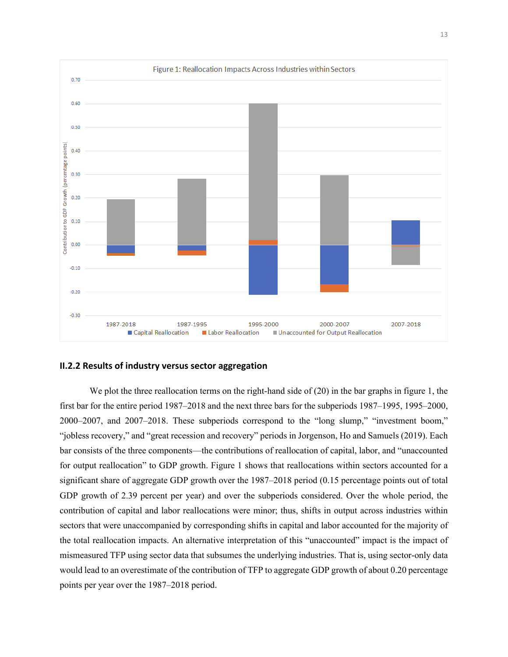

#### **II.2.2 Results of industry versus sector aggregation**

We plot the three reallocation terms on the right-hand side of (20) in the bar graphs in figure 1, the first bar for the entire period 1987–2018 and the next three bars for the subperiods 1987–1995, 1995–2000, 2000–2007, and 2007–2018. These subperiods correspond to the "long slump," "investment boom," "jobless recovery," and "great recession and recovery" periods in Jorgenson, Ho and Samuels (2019). Each bar consists of the three components—the contributions of reallocation of capital, labor, and "unaccounted for output reallocation" to GDP growth. Figure 1 shows that reallocations within sectors accounted for a significant share of aggregate GDP growth over the 1987–2018 period (0.15 percentage points out of total GDP growth of 2.39 percent per year) and over the subperiods considered. Over the whole period, the contribution of capital and labor reallocations were minor; thus, shifts in output across industries within sectors that were unaccompanied by corresponding shifts in capital and labor accounted for the majority of the total reallocation impacts. An alternative interpretation of this "unaccounted" impact is the impact of mismeasured TFP using sector data that subsumes the underlying industries. That is, using sector-only data would lead to an overestimate of the contribution of TFP to aggregate GDP growth of about 0.20 percentage points per year over the 1987–2018 period.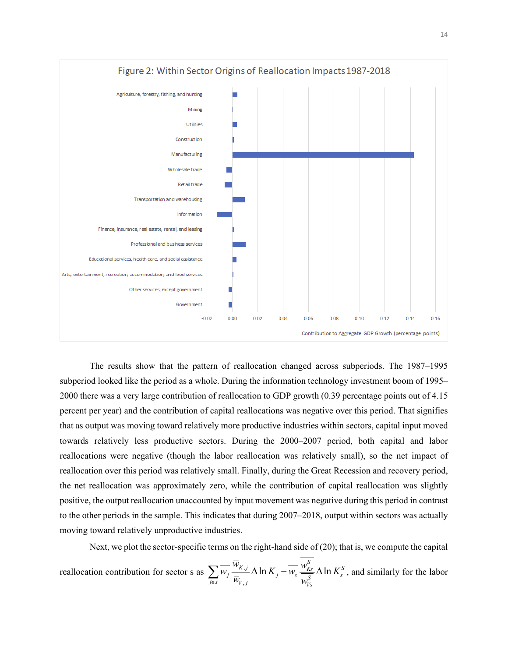

The results show that the pattern of reallocation changed across subperiods. The 1987–1995 subperiod looked like the period as a whole. During the information technology investment boom of 1995– 2000 there was a very large contribution of reallocation to GDP growth (0.39 percentage points out of 4.15 percent per year) and the contribution of capital reallocations was negative over this period. That signifies that as output was moving toward relatively more productive industries within sectors, capital input moved towards relatively less productive sectors. During the 2000–2007 period, both capital and labor reallocations were negative (though the labor reallocation was relatively small), so the net impact of reallocation over this period was relatively small. Finally, during the Great Recession and recovery period, the net reallocation was approximately zero, while the contribution of capital reallocation was slightly positive, the output reallocation unaccounted by input movement was negative during this period in contrast to the other periods in the sample. This indicates that during 2007–2018, output within sectors was actually moving toward relatively unproductive industries.

Next, we plot the sector-specific terms on the right-hand side of (20); that is, we compute the capital *w S* reallocation contribution for sector s as  $\sum \overline{w_j} \frac{\overline{w}_{K,j}}{\overline{w}} \Delta \ln K_j - \overline{w_s} \frac{w_{Ks}^S}{\overline{w_s^S}} \Delta \ln K_s^S$ , and similarly for the labor  $\sum_{j \in s} W_j \overline{W}_{V,j}$   $\overline{W}_{V,j}$   $\cdots$   $\sum_{j \in S} W_{Vs}$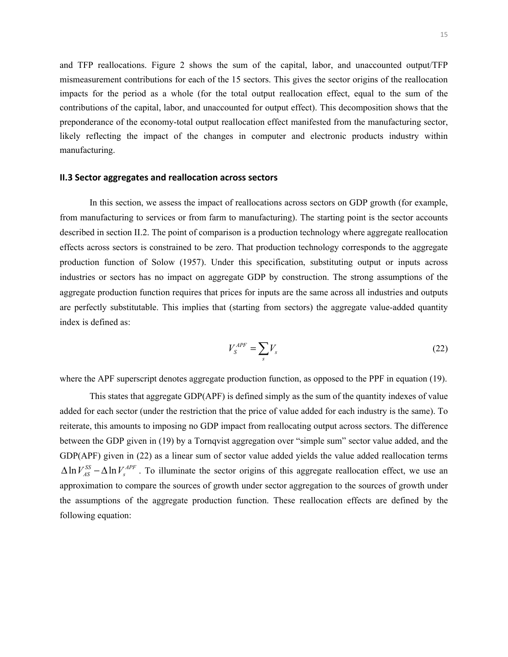and TFP reallocations. Figure 2 shows the sum of the capital, labor, and unaccounted output/TFP mismeasurement contributions for each of the 15 sectors. This gives the sector origins of the reallocation impacts for the period as a whole (for the total output reallocation effect, equal to the sum of the contributions of the capital, labor, and unaccounted for output effect). This decomposition shows that the preponderance of the economy-total output reallocation effect manifested from the manufacturing sector, likely reflecting the impact of the changes in computer and electronic products industry within manufacturing.

#### **II.3 Sector aggregates and reallocation across sectors**

In this section, we assess the impact of reallocations across sectors on GDP growth (for example, from manufacturing to services or from farm to manufacturing). The starting point is the sector accounts described in section II.2. The point of comparison is a production technology where aggregate reallocation effects across sectors is constrained to be zero. That production technology corresponds to the aggregate production function of Solow (1957). Under this specification, substituting output or inputs across industries or sectors has no impact on aggregate GDP by construction. The strong assumptions of the aggregate production function requires that prices for inputs are the same across all industries and outputs are perfectly substitutable. This implies that (starting from sectors) the aggregate value-added quantity index is defined as:

$$
V_s^{APF} = \sum_s V_s \tag{22}
$$

where the APF superscript denotes aggregate production function, as opposed to the PPF in equation (19).

This states that aggregate GDP(APF) is defined simply as the sum of the quantity indexes of value added for each sector (under the restriction that the price of value added for each industry is the same). To reiterate, this amounts to imposing no GDP impact from reallocating output across sectors. The difference between the GDP given in (19) by a Tornqvist aggregation over "simple sum" sector value added, and the GDP(APF) given in (22) as a linear sum of sector value added yields the value added reallocation terms  $\Delta \ln V_{AS}^{SS} - \Delta \ln V_{s}^{APF}$ . To illuminate the sector origins of this aggregate reallocation effect, we use an approximation to compare the sources of growth under sector aggregation to the sources of growth under the assumptions of the aggregate production function. These reallocation effects are defined by the following equation: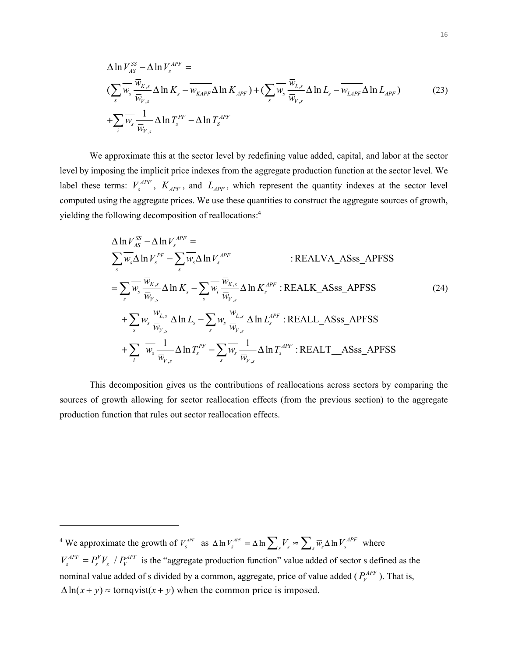$$
\Delta \ln V_{AS}^{SS} - \Delta \ln V_{s}^{APF} =
$$
\n
$$
\left(\sum_{s} \overline{w}_{s} \frac{\overline{w}_{K,s}}{\overline{w}_{V,s}} \Delta \ln K_{s} - \overline{w}_{KAPF} \Delta \ln K_{APF}\right) + \left(\sum_{s} \overline{w}_{s} \frac{\overline{w}_{L,s}}{\overline{w}_{V,s}} \Delta \ln L_{s} - \overline{w}_{LAPF} \Delta \ln L_{APF}\right) \tag{23}
$$
\n
$$
+ \sum_{i} \overline{w}_{s} \frac{1}{\overline{w}_{V,s}} \Delta \ln T_{s}^{PF} - \Delta \ln T_{s}^{APF}
$$

We approximate this at the sector level by redefining value added, capital, and labor at the sector level by imposing the implicit price indexes from the aggregate production function at the sector level. We label these terms:  $V_s^{APF}$ ,  $K_{APF}$ , and  $L_{APF}$ , which represent the quantity indexes at the sector level computed using the aggregate prices. We use these quantities to construct the aggregate sources of growth, yielding the following decomposition of reallocations:<sup>4</sup>

$$
\Delta \ln V_{AS}^{SS} - \Delta \ln V_{s}^{APF} =
$$
\n
$$
\sum_{s} \overline{w_{s}} \Delta \ln V_{s}^{PF} - \sum_{s} \overline{w_{s}} \Delta \ln V_{s}^{APF}
$$
\n: REALVA\_Assa\_APFSS\n
$$
= \sum_{s} \overline{w_{s}} \frac{\overline{w}_{K,s}}{\overline{w}_{V,s}} \Delta \ln K_{s} - \sum_{s} \overline{w_{i}} \frac{\overline{w}_{K,s}}{\overline{w}_{V,s}} \Delta \ln K_{s}^{APF} : REALKA\_Assa_APFSS
$$
\n
$$
+ \sum_{s} \overline{w_{s}} \frac{\overline{w}_{L,s}}{\overline{w}_{V,s}} \Delta \ln L_{s} - \sum_{s} \overline{w_{s}} \frac{\overline{w}_{L,s}}{\overline{w}_{V,s}} \Delta \ln L_{s}^{APF} : REALLASSs_APFSS
$$
\n
$$
+ \sum_{i} \overline{w_{s}} \frac{1}{\overline{w_{V,s}}} \Delta \ln T_{s}^{PF} - \sum_{s} \overline{w_{s}} \frac{1}{\overline{w_{V,s}}} \Delta \ln T_{s}^{APF} : REALTASSs_APFSS
$$
\n(24)

This decomposition gives us the contributions of reallocations across sectors by comparing the sources of growth allowing for sector reallocation effects (from the previous section) to the aggregate production function that rules out sector reallocation effects.

<sup>&</sup>lt;sup>4</sup> We approximate the growth of  $V_s^{APF}$  as  $\Delta \ln V_s^{APF} = \Delta \ln \sum_s V_s \approx \sum_s \overline{w}_s \Delta \ln V_s^{APF}$  where  $V_s^{APF} = P_s^V V_s / P_V^{APF}$  is the "aggregate production function" value added of sector s defined as the nominal value added of s divided by a common, aggregate, price of value added ( $P_V^{APF}$ ). That is,

 $\Delta \ln(x + y) \approx$  tornqvist(x + y) when the common price is imposed.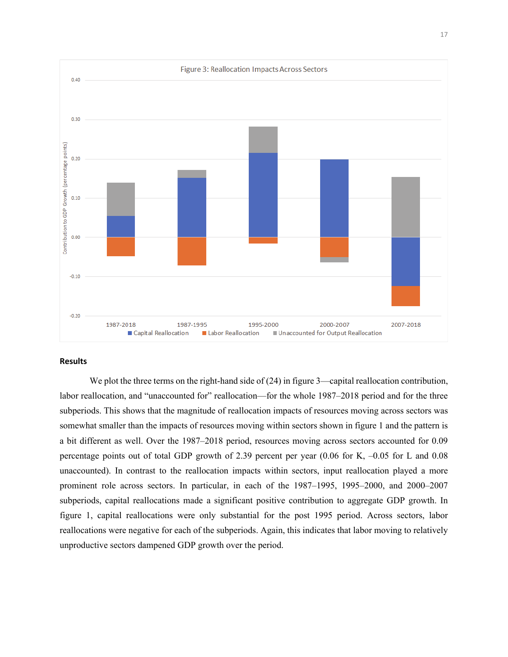

#### **Results**

We plot the three terms on the right-hand side of (24) in figure 3—capital reallocation contribution, labor reallocation, and "unaccounted for" reallocation—for the whole 1987–2018 period and for the three subperiods. This shows that the magnitude of reallocation impacts of resources moving across sectors was somewhat smaller than the impacts of resources moving within sectors shown in figure 1 and the pattern is a bit different as well. Over the 1987–2018 period, resources moving across sectors accounted for 0.09 percentage points out of total GDP growth of 2.39 percent per year (0.06 for K, –0.05 for L and 0.08 unaccounted). In contrast to the reallocation impacts within sectors, input reallocation played a more prominent role across sectors. In particular, in each of the 1987–1995, 1995–2000, and 2000–2007 subperiods, capital reallocations made a significant positive contribution to aggregate GDP growth. In figure 1, capital reallocations were only substantial for the post 1995 period. Across sectors, labor reallocations were negative for each of the subperiods. Again, this indicates that labor moving to relatively unproductive sectors dampened GDP growth over the period.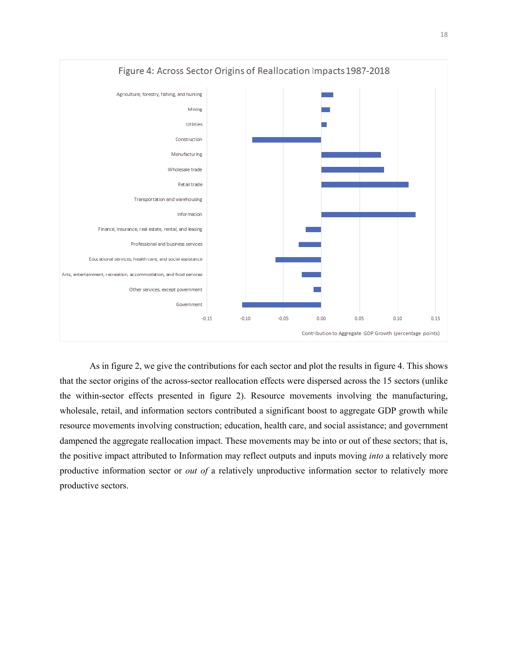

As in figure 2, we give the contributions for each sector and plot the results in figure 4. This shows that the sector origins of the across-sector reallocation effects were dispersed across the 15 sectors (unlike the within-sector effects presented in figure 2). Resource movements involving the manufacturing, wholesale, retail, and information sectors contributed a significant boost to aggregate GDP growth while resource movements involving construction; education, health care, and social assistance; and government dampened the aggregate reallocation impact. These movements may be into or out of these sectors; that is, the positive impact attributed to Information may reflect outputs and inputs moving *into* a relatively more productive information sector or *out of* a relatively unproductive information sector to relatively more productive sectors.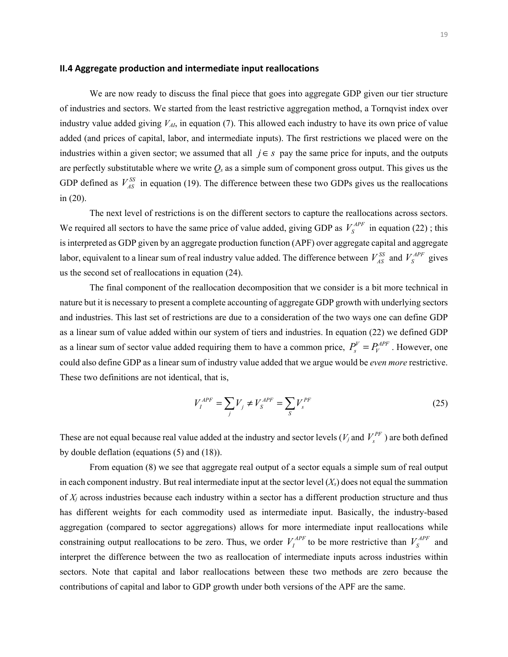#### **II.4 Aggregate production and intermediate input reallocations**

We are now ready to discuss the final piece that goes into aggregate GDP given our tier structure of industries and sectors. We started from the least restrictive aggregation method, a Tornqvist index over industry value added giving  $V_{AI}$ , in equation (7). This allowed each industry to have its own price of value added (and prices of capital, labor, and intermediate inputs). The first restrictions we placed were on the industries within a given sector; we assumed that all  $j \in S$  pay the same price for inputs, and the outputs are perfectly substitutable where we write  $Q_s$  as a simple sum of component gross output. This gives us the GDP defined as  $V_{AS}^{SS}$  in equation (19). The difference between these two GDPs gives us the reallocations in (20).

The next level of restrictions is on the different sectors to capture the reallocations across sectors. We required all sectors to have the same price of value added, giving GDP as  $V_s^{APF}$  in equation (22); this is interpreted as GDP given by an aggregate production function (APF) over aggregate capital and aggregate labor, equivalent to a linear sum of real industry value added. The difference between  $V_{AS}^{SS}$  and  $V_{S}^{APF}$  gives us the second set of reallocations in equation (24).

The final component of the reallocation decomposition that we consider is a bit more technical in nature but it is necessary to present a complete accounting of aggregate GDP growth with underlying sectors and industries. This last set of restrictions are due to a consideration of the two ways one can define GDP as a linear sum of value added within our system of tiers and industries. In equation (22) we defined GDP as a linear sum of sector value added requiring them to have a common price,  $P_s^V = P_t^{APF}$ . However, one could also define GDP as a linear sum of industry value added that we argue would be *even more* restrictive. These two definitions are not identical, that is,

$$
V_I^{APF} = \sum_j V_j \neq V_S^{APF} = \sum_S V_S^{PF}
$$
\n
$$
(25)
$$

These are not equal because real value added at the industry and sector levels  $(V_j$  and  $V_s^{PF}$  ) are both defined by double deflation (equations (5) and (18)).

From equation (8) we see that aggregate real output of a sector equals a simple sum of real output in each component industry. But real intermediate input at the sector level  $(X_s)$  does not equal the summation of *Xj* across industries because each industry within a sector has a different production structure and thus has different weights for each commodity used as intermediate input. Basically, the industry-based aggregation (compared to sector aggregations) allows for more intermediate input reallocations while constraining output reallocations to be zero. Thus, we order  $V_I^{APF}$  to be more restrictive than  $V_S^{APF}$  and interpret the difference between the two as reallocation of intermediate inputs across industries within sectors. Note that capital and labor reallocations between these two methods are zero because the contributions of capital and labor to GDP growth under both versions of the APF are the same.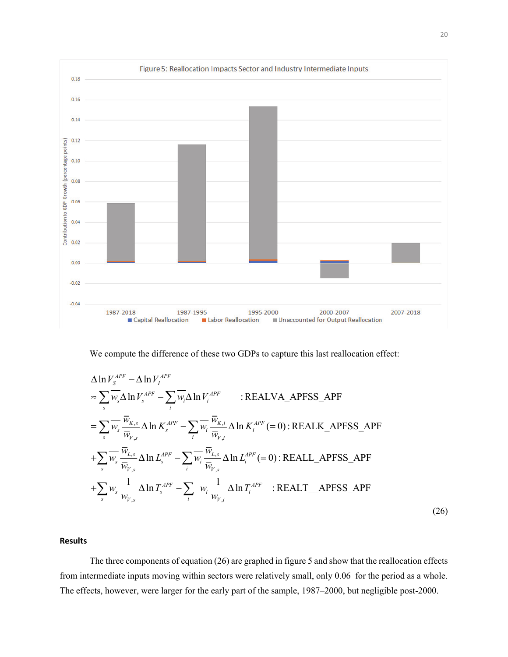

We compute the difference of these two GDPs to capture this last reallocation effect:

$$
\Delta \ln V_s^{APF} - \Delta \ln V_i^{APF}
$$
\n
$$
\approx \sum_{s} \overline{w_s} \Delta \ln V_s^{APF} - \sum_{i} \overline{w_i} \Delta \ln V_i^{APF} \qquad : \text{REALVA\_APFSS\_APF}
$$
\n
$$
= \sum_{s} \overline{w_s} \frac{\overline{w}_{K,s}}{\overline{w}_{V,s}} \Delta \ln K_s^{APF} - \sum_{i} \overline{w_i} \frac{\overline{w}_{K,i}}{\overline{w}_{V,i}} \Delta \ln K_i^{APF} (= 0) : \text{REALK\_APFSS\_APF}
$$
\n
$$
+ \sum_{s} \overline{w_s} \frac{\overline{w}_{L,s}}{\overline{w}_{V,s}} \Delta \ln L_s^{APF} - \sum_{i} \overline{w_i} \frac{\overline{w}_{L,s}}{\overline{w}_{V,s}} \Delta \ln L_i^{APF} (= 0) : \text{REALL\_APFSS\_APF}
$$
\n
$$
+ \sum_{s} \overline{w_s} \frac{1}{\overline{w}_{V,s}} \Delta \ln T_s^{APF} - \sum_{i} \overline{w_i} \frac{1}{\overline{w}_{V,i}} \Delta \ln T_i^{APF} : \text{REALT\_APFSS\_APF}
$$
\n(26)

#### **Results**

The three components of equation (26) are graphed in figure 5 and show that the reallocation effects from intermediate inputs moving within sectors were relatively small, only 0.06 for the period as a whole. The effects, however, were larger for the early part of the sample, 1987–2000, but negligible post-2000.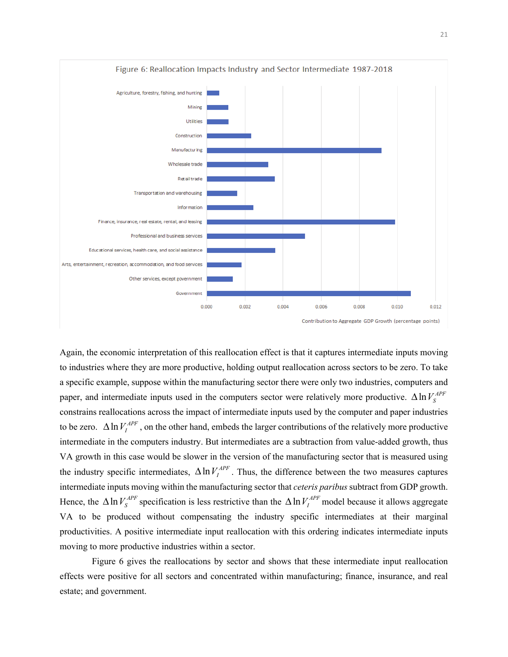

Again, the economic interpretation of this reallocation effect is that it captures intermediate inputs moving to industries where they are more productive, holding output reallocation across sectors to be zero. To take a specific example, suppose within the manufacturing sector there were only two industries, computers and paper, and intermediate inputs used in the computers sector were relatively more productive.  $\Delta \ln V_s^{APF}$ constrains reallocations across the impact of intermediate inputs used by the computer and paper industries to be zero.  $\Delta \ln V_I^{APF}$ , on the other hand, embeds the larger contributions of the relatively more productive intermediate in the computers industry. But intermediates are a subtraction from value-added growth, thus VA growth in this case would be slower in the version of the manufacturing sector that is measured using the industry specific intermediates,  $\Delta \ln V_I^{APF}$ . Thus, the difference between the two measures captures intermediate inputs moving within the manufacturing sector that *ceteris paribus* subtract from GDP growth. Hence, the  $\Delta \ln V_s^{APF}$  specification is less restrictive than the  $\Delta \ln V_I^{APF}$  model because it allows aggregate VA to be produced without compensating the industry specific intermediates at their marginal productivities. A positive intermediate input reallocation with this ordering indicates intermediate inputs moving to more productive industries within a sector.

Figure 6 gives the reallocations by sector and shows that these intermediate input reallocation effects were positive for all sectors and concentrated within manufacturing; finance, insurance, and real estate; and government.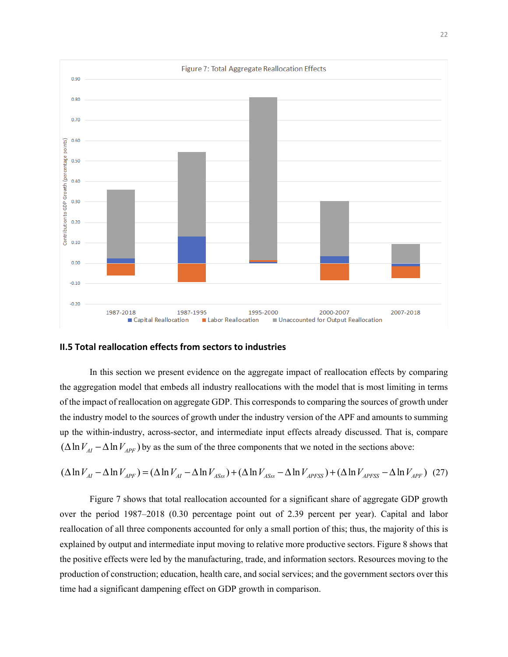

#### **II.5 Total reallocation effects from sectors to industries**

 In this section we present evidence on the aggregate impact of reallocation effects by comparing the aggregation model that embeds all industry reallocations with the model that is most limiting in terms of the impact of reallocation on aggregate GDP. This corresponds to comparing the sources of growth under the industry model to the sources of growth under the industry version of the APF and amounts to summing up the within-industry, across-sector, and intermediate input effects already discussed. That is, compare  $(\Delta \ln V_{AF} - \Delta \ln V_{AFF})$  by as the sum of the three components that we noted in the sections above:

$$
(\Delta \ln V_{AI} - \Delta \ln V_{APF}) = (\Delta \ln V_{AI} - \Delta \ln V_{ASS}) + (\Delta \ln V_{ASS} - \Delta \ln V_{APFSS}) + (\Delta \ln V_{APFSS} - \Delta \ln V_{APF})
$$
 (27)

Figure 7 shows that total reallocation accounted for a significant share of aggregate GDP growth over the period 1987–2018 (0.30 percentage point out of 2.39 percent per year). Capital and labor reallocation of all three components accounted for only a small portion of this; thus, the majority of this is explained by output and intermediate input moving to relative more productive sectors. Figure 8 shows that the positive effects were led by the manufacturing, trade, and information sectors. Resources moving to the production of construction; education, health care, and social services; and the government sectors over this time had a significant dampening effect on GDP growth in comparison.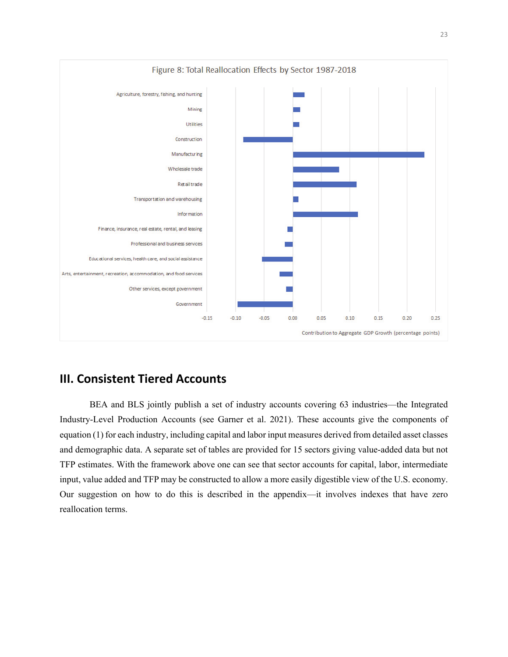

### **III. Consistent Tiered Accounts**

BEA and BLS jointly publish a set of industry accounts covering 63 industries—the Integrated Industry-Level Production Accounts (see Garner et al. 2021). These accounts give the components of equation (1) for each industry, including capital and labor input measures derived from detailed asset classes and demographic data. A separate set of tables are provided for 15 sectors giving value-added data but not TFP estimates. With the framework above one can see that sector accounts for capital, labor, intermediate input, value added and TFP may be constructed to allow a more easily digestible view of the U.S. economy. Our suggestion on how to do this is described in the appendix—it involves indexes that have zero reallocation terms.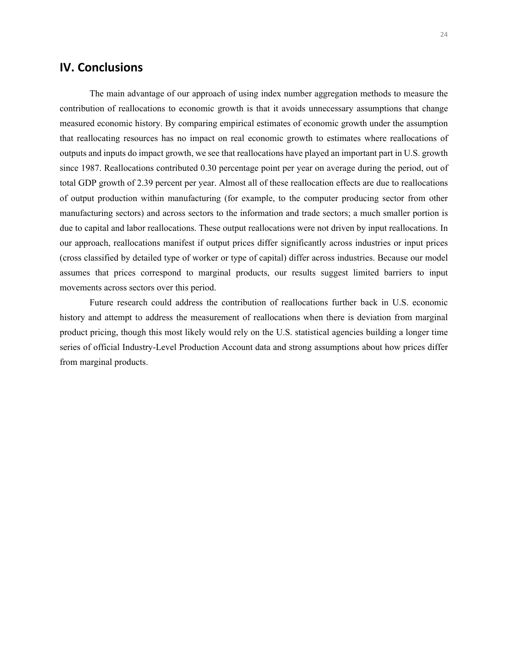### **IV. Conclusions**

The main advantage of our approach of using index number aggregation methods to measure the contribution of reallocations to economic growth is that it avoids unnecessary assumptions that change measured economic history. By comparing empirical estimates of economic growth under the assumption that reallocating resources has no impact on real economic growth to estimates where reallocations of outputs and inputs do impact growth, we see that reallocations have played an important part in U.S. growth since 1987. Reallocations contributed 0.30 percentage point per year on average during the period, out of total GDP growth of 2.39 percent per year. Almost all of these reallocation effects are due to reallocations of output production within manufacturing (for example, to the computer producing sector from other manufacturing sectors) and across sectors to the information and trade sectors; a much smaller portion is due to capital and labor reallocations. These output reallocations were not driven by input reallocations. In our approach, reallocations manifest if output prices differ significantly across industries or input prices (cross classified by detailed type of worker or type of capital) differ across industries. Because our model assumes that prices correspond to marginal products, our results suggest limited barriers to input movements across sectors over this period.

Future research could address the contribution of reallocations further back in U.S. economic history and attempt to address the measurement of reallocations when there is deviation from marginal product pricing, though this most likely would rely on the U.S. statistical agencies building a longer time series of official Industry-Level Production Account data and strong assumptions about how prices differ from marginal products.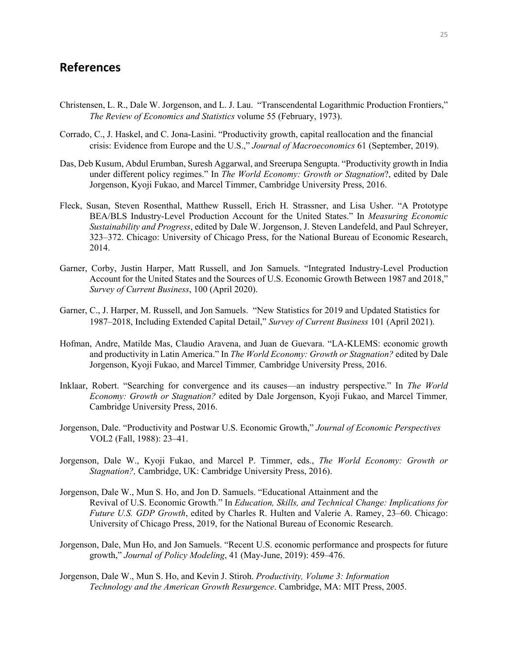## **References**

- Christensen, L. R., Dale W. Jorgenson, and L. J. Lau. "Transcendental Logarithmic Production Frontiers," *The Review of Economics and Statistics* volume 55 (February, 1973).
- Corrado, C., J. Haskel, and C. Jona-Lasini. "Productivity growth, capital reallocation and the financial crisis: Evidence from Europe and the U.S.," *Journal of Macroeconomics* 61 (September, 2019).
- Das, Deb Kusum, Abdul Erumban, Suresh Aggarwal, and Sreerupa Sengupta. "Productivity growth in India under different policy regimes." In *The World Economy: Growth or Stagnation*?, edited by Dale Jorgenson, Kyoji Fukao, and Marcel Timmer, Cambridge University Press, 2016.
- Fleck, Susan, Steven Rosenthal, Matthew Russell, Erich H. Strassner, and Lisa Usher. "A Prototype BEA/BLS Industry-Level Production Account for the United States." In *Measuring Economic Sustainability and Progress*, edited by Dale W. Jorgenson, J. Steven Landefeld, and Paul Schreyer, 323–372. Chicago: University of Chicago Press, for the National Bureau of Economic Research, 2014.
- Garner, Corby, Justin Harper, Matt Russell, and Jon Samuels. "Integrated Industry-Level Production Account for the United States and the Sources of U.S. Economic Growth Between 1987 and 2018," *Survey of Current Business*, 100 (April 2020).
- Garner, C., J. Harper, M. Russell, and Jon Samuels. "New Statistics for 2019 and Updated Statistics for 1987–2018, Including Extended Capital Detail," *Survey of Current Business* 101 (April 2021).
- Hofman, Andre, Matilde Mas, Claudio Aravena, and Juan de Guevara. "LA-KLEMS: economic growth and productivity in Latin America." In *The World Economy: Growth or Stagnation?* edited by Dale Jorgenson, Kyoji Fukao, and Marcel Timmer*,* Cambridge University Press, 2016.
- Inklaar, Robert. "Searching for convergence and its causes—an industry perspective." In *The World Economy: Growth or Stagnation?* edited by Dale Jorgenson, Kyoji Fukao, and Marcel Timmer*,*  Cambridge University Press, 2016.
- Jorgenson, Dale. "Productivity and Postwar U.S. Economic Growth," *Journal of Economic Perspectives*  VOL2 (Fall, 1988): 23–41.
- Jorgenson, Dale W., Kyoji Fukao, and Marcel P. Timmer, eds., *The World Economy: Growth or Stagnation?,* Cambridge, UK: Cambridge University Press, 2016).
- Jorgenson, Dale W., Mun S. Ho, and Jon D. Samuels. "Educational Attainment and the Revival of U.S. Economic Growth." In *Education, Skills, and Technical Change: Implications for Future U.S. GDP Growth*, edited by Charles R. Hulten and Valerie A. Ramey, 23–60. Chicago: University of Chicago Press, 2019, for the National Bureau of Economic Research.
- Jorgenson, Dale, Mun Ho, and Jon Samuels. "Recent U.S. economic performance and prospects for future growth," *Journal of Policy Modeling*, 41 (May-June, 2019): 459–476.
- Jorgenson, Dale W., Mun S. Ho, and Kevin J. Stiroh. *Productivity, Volume 3: Information Technology and the American Growth Resurgence*. Cambridge, MA: MIT Press, 2005.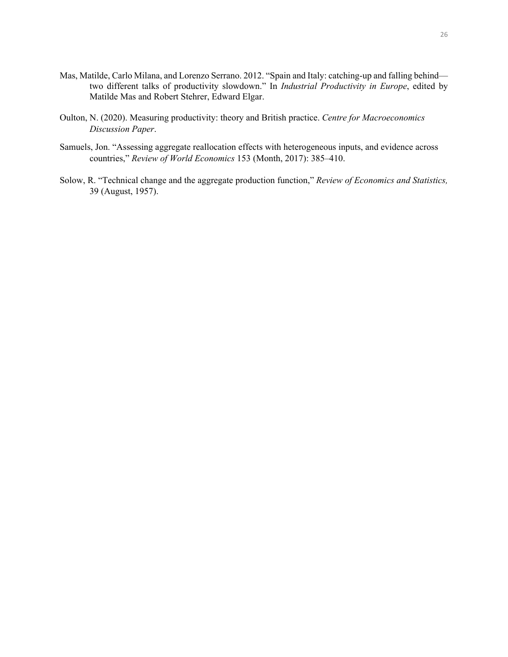- Mas, Matilde, Carlo Milana, and Lorenzo Serrano. 2012. "Spain and Italy: catching-up and falling behind two different talks of productivity slowdown." In *Industrial Productivity in Europe*, edited by Matilde Mas and Robert Stehrer, Edward Elgar.
- Oulton, N. (2020). Measuring productivity: theory and British practice. *Centre for Macroeconomics Discussion Paper*.
- Samuels, Jon. "Assessing aggregate reallocation effects with heterogeneous inputs, and evidence across countries," *Review of World Economics* 153 (Month, 2017): 385–410.
- Solow, R. "Technical change and the aggregate production function," *Review of Economics and Statistics,*  39 (August, 1957).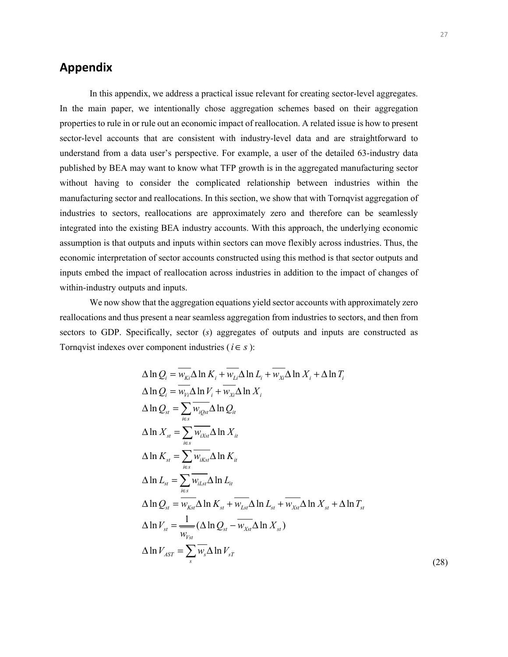# **Appendix**

In this appendix, we address a practical issue relevant for creating sector-level aggregates. In the main paper, we intentionally chose aggregation schemes based on their aggregation properties to rule in or rule out an economic impact of reallocation. A related issue is how to present sector-level accounts that are consistent with industry-level data and are straightforward to understand from a data user's perspective. For example, a user of the detailed 63-industry data published by BEA may want to know what TFP growth is in the aggregated manufacturing sector without having to consider the complicated relationship between industries within the manufacturing sector and reallocations. In this section, we show that with Tornqvist aggregation of industries to sectors, reallocations are approximately zero and therefore can be seamlessly integrated into the existing BEA industry accounts. With this approach, the underlying economic assumption is that outputs and inputs within sectors can move flexibly across industries. Thus, the economic interpretation of sector accounts constructed using this method is that sector outputs and inputs embed the impact of reallocation across industries in addition to the impact of changes of within-industry outputs and inputs.

We now show that the aggregation equations yield sector accounts with approximately zero reallocations and thus present a near seamless aggregation from industries to sectors, and then from sectors to GDP. Specifically, sector (*s*) aggregates of outputs and inputs are constructed as Tornqvist indexes over component industries ( $i \in S$ ):

$$
\Delta \ln Q_{i} = \overline{w_{Ki}} \Delta \ln K_{i} + \overline{w_{Li}} \Delta \ln L_{i} + \overline{w_{xi}} \Delta \ln X_{i} + \Delta \ln T_{i}
$$
  
\n
$$
\Delta \ln Q_{i} = \overline{w_{vi}} \Delta \ln V_{i} + \overline{w_{xi}} \Delta \ln X_{i}
$$
  
\n
$$
\Delta \ln Q_{st} = \sum_{i \in s} \overline{w_{iQst}} \Delta \ln Q_{it}
$$
  
\n
$$
\Delta \ln X_{st} = \sum_{i \in s} \overline{w_{iKst}} \Delta \ln X_{it}
$$
  
\n
$$
\Delta \ln K_{st} = \sum_{i \in s} \overline{w_{iKst}} \Delta \ln K_{it}
$$
  
\n
$$
\Delta \ln L_{st} = \sum_{i \in s} \overline{w_{iLst}} \Delta \ln L_{it}
$$
  
\n
$$
\Delta \ln Q_{st} = \overline{w_{Kst}} \Delta \ln K_{st} + \overline{w_{Lst}} \Delta \ln L_{st} + \overline{w_{Xst}} \Delta \ln X_{st} + \Delta \ln T_{st}
$$
  
\n
$$
\Delta \ln V_{st} = \frac{1}{\overline{w_{vst}}} (\Delta \ln Q_{st} - \overline{w_{Xst}} \Delta \ln X_{st})
$$
  
\n
$$
\Delta \ln V_{AST} = \sum_{s} \overline{w_{s}} \Delta \ln V_{sT}
$$
 (28)